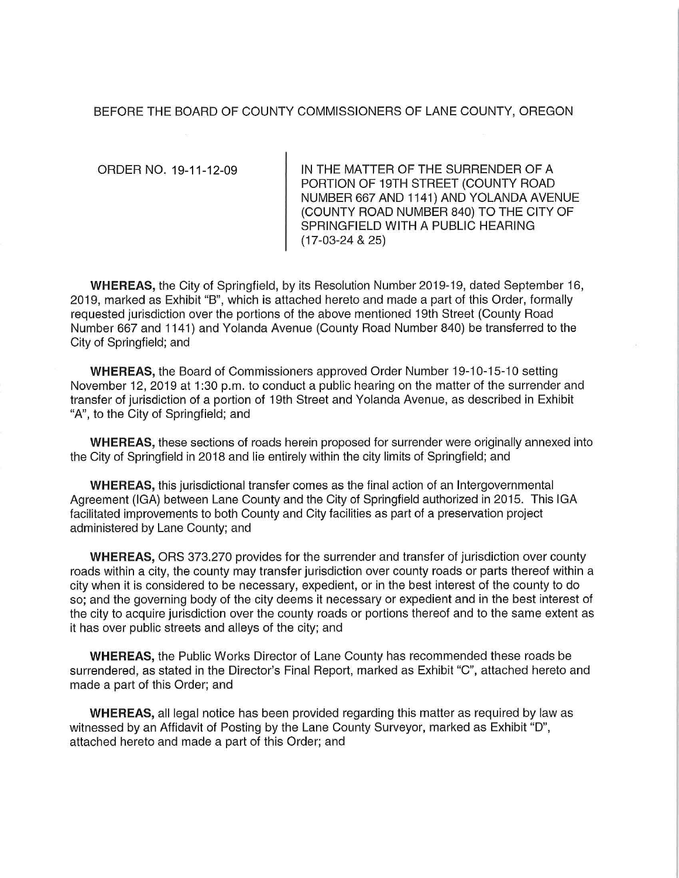#### BEFORE THE BOARD OF COUNTY COMMISSIONERS OF LANE COUNTY, OREGON

ORDER NO. 19-11-12-09

IN THE MATTER OF THE SURRENDER OF A PORTION OF 19TH STREET (COUNTY ROAD NUMBER 667 AND 1141) AND YOLANDA AVENUE (COUNTY ROAD NUMBER 840) TO **THE** CITY OF SPRINGFIELD WITH A PUBLIC HEARING (17-03-24 & 25)

**WHEREAS,** the City of Springfield, by its Resolution Number 2019-19, dated September 16, 2019, marked as Exhibit "B", which is attached hereto and made a part of this Order, formally requested jurisdiction over the portions of the above mentioned 19th Street (County Road Number 667 and 1141) and Yolanda Avenue (County Road Number 840) be transferred to the City of Springfield; and

**WHEREAS, the Board of Commissioners approved Order Number 19-10-15-10 setting** November 12, 2019 at 1:30 p.m. to conduct a public hearing on the matter of the surrender and transfer of jurisdiction of a portion of 19th Street and Yolanda Avenue, as described in Exhibit "A", to the City of Springfield; and

**WHEREAS,** these sections of roads herein proposed for surrender were originally annexed into the City of Springfield in 2018 and lie entirely within the city limits of Springfield; and

**WHEREAS,** this jurisdictional transfer comes as the final action of an Intergovernmental Agreement (IGA) between Lane County and the City of Springfield authorized in 2015. This IGA facilitated improvements to both County and City facilities as part of a preservation project administered by Lane County; and

**WHEREAS,** ORS 373.270 provides for the surrender and transfer of jurisdiction over county roads within a city, the county may transfer jurisdiction over county roads or parts thereof within a city when it is considered to be necessary, expedient, or in the best interest of the county to do so; and the governing body of the city deems it necessary or expedient and in the best interest of the city to acquire jurisdiction over the county roads or portions thereof and to the same extent as it has over public streets and alleys of the city; and

**WHEREAS,** the Public Works Director of Lane County has recommended these roads be surrendered, as stated in the Director's Final Report, marked as Exhibit "C", attached hereto and made a part of this Order; and

**WHEREAS,** all legal notice has been provided regarding this matter as required by law as witnessed by an Affidavit of Posting by the Lane County Surveyor, marked as Exhibit "D", attached hereto and made a part of this Order; and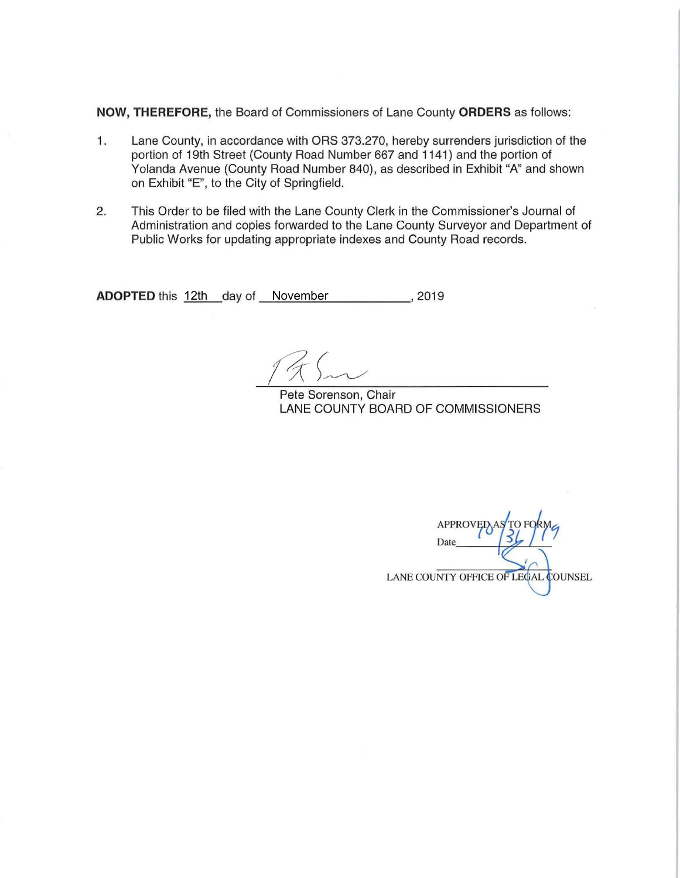**NOW, THEREFORE,** the Board of Commissioners of Lane County **ORDERS** as follows:

- 1. Lane County, in accordance with ORS 373.270, hereby surrenders jurisdiction of the portion of 19th Street (County Road Number 667 and 1141 ) and the portion of Yolanda Avenue (County Road Number 840), as described in Exhibit "A" and shown on Exhibit "E", to the City of Springfield.
- 2. This Order to be filed with the Lane County Clerk in the Commissioner's Journal of Administration and copies forwarded to the Lane County Surveyor and Department of Public Works for updating appropriate indexes and County Road records.

**ADOPTED** this <u>12th \_</u>day of \_\_November \_\_\_\_\_\_\_\_\_\_\_, 2019

Pete Sorenson, Chair LANE COUNTY BOARD OF COMMISSIONERS

**APPROVEI** Date LANE COUNTY OFFICE OF LEGAL COUNSEL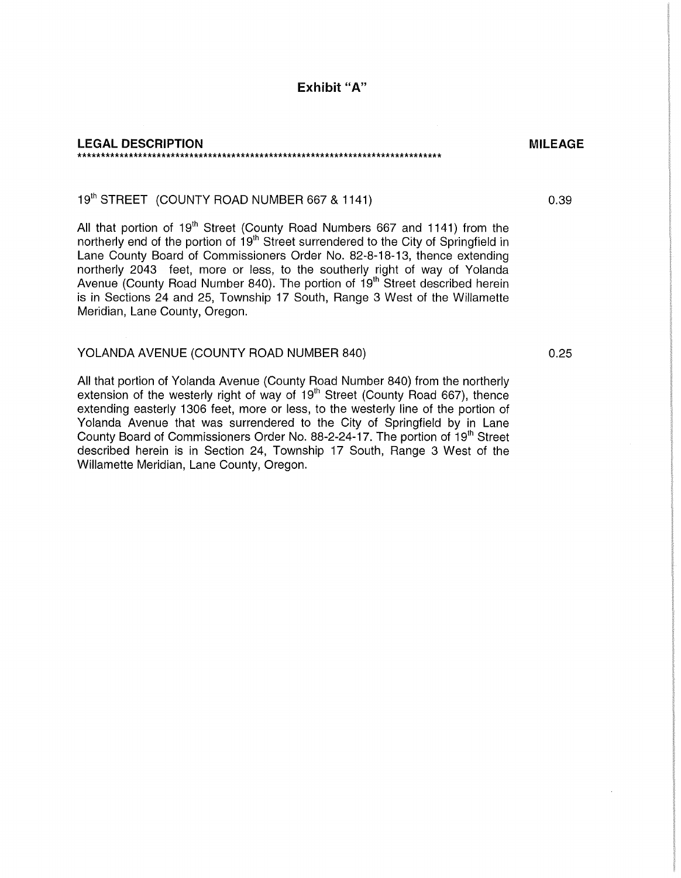#### **LEGAL DESCRIPTION**  \*\*\*\*\*\*\*\*\*\*\*\*\*\*\*\*\*\*\*\*\*\*\*\*\*\*\*\*\*\*\*\*\*\*\*\*\*\*\*\*\*\*\*\*\*\*\*\*\*\*\*\*\*\*\*\*\*\*\*\*\*\*\*\*\*\*\*\*\*\*\*\*\*\*\*\*\*\*

## 19<sup>th</sup> STREET (COUNTY ROAD NUMBER 667 & 1141)

All that portion of 19<sup>th</sup> Street (County Road Numbers 667 and 1141) from the northerly end of the portion of 19<sup>th</sup> Street surrendered to the City of Springfield in Lane County Board of Commissioners Order No. 82-8-18-13, thence extending northerly 2043 feet, more or less, to the southerly right of way of Yolanda Avenue (County Road Number 840). The portion of 19<sup>th</sup> Street described herein is in Sections 24 and 25, Township 17 South, Range 3 West of the Willamette Meridian, Lane County, Oregon.

#### YOLANDA AVENUE (COUNTY ROAD NUMBER 840)

All that portion of Yolanda Avenue (County Road Number 840) from the northerly extension of the westerly right of way of  $19<sup>th</sup>$  Street (County Road 667), thence extending easterly 1306 feet, more or less, to the westerly line of the portion of Yolanda Avenue that was surrendered to the City of Springfield by in Lane County Board of Commissioners Order No. 88-2-24-17. The portion of 19<sup>th</sup> Street described herein is in Section 24, Township 17 South, Range 3 West of the Willamette Meridian, Lane County, Oregon.

0.25

**MILEAGE** 

0.39

**Exhibit** "A"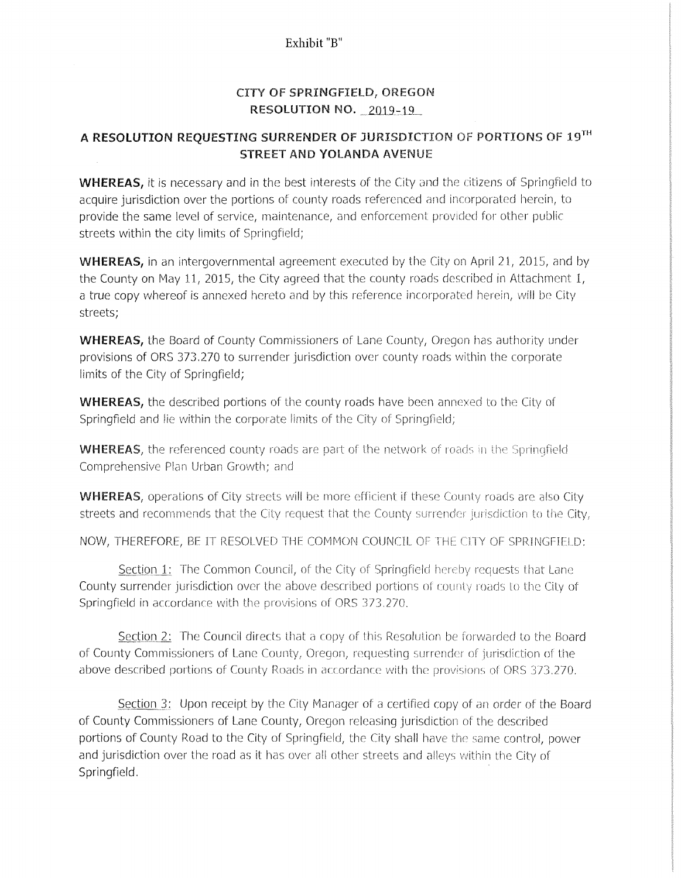### Exhibit "B"

## CITY OF SPRINGFIELD, OREGON RESOLUTION NO. 2019-19

# A RESOLUTION REQUESTING SURRENDER OF JURISDICTION OF PORTIONS OF 19TH STREET AND YOLANDA AVENUE

WHEREAS, it is necessary and in the best interests of the City and the citizens of Springfield to acquire jurisdiction over the portions of county roads referenced and incorporated herein, to provide the same level of service, maintenance, and enforcement provided for other public streets within the city limits of Springfield;

WHEREAS, in an intergovernmental agreement executed by the City on April 21, 2015, and by the County on May l1, 2015, the City agreed that the county roads described in Attachment 1, a true copy whereof is annexed hereto and by this reference incorporated herein, will be City streets;

WHEREAS, the Board of County Commissioners of Lane County, Oregon has authority under provisions of ORS 373.270 to surrender jurisdiction over county roads within the corporate limits of the City of Springfield;

WHEREAS, the described portions of the county roads have been annexed to the City of Springfield and lie within the corporate limits of the City of Springfield;

**WHEREAS**, the referenced county roads are part of the network of roads in the Springfield Comprehensive Plan Urban Growth; and

**WHEREAS**, operations of City streets will be more efficient if these County roads are also City streets and recommends that the City request that the County surrender jurisdiction to the City,

NOW, THEREFORE, BE IT RESOLVED THE COMMON COUNCIL OF THE CITY OF SPRINGFIELD:

 $S$ ection  $1$ : The Common Council, of the City of Springfield hereby requests that Lane County surrender jurisdiction over the above described portions of county roads to the City of Springfield in accordance with the provisions of ORS 373.270.

Section 2: The Council directs that a copy of this Resolution be forwarded to the Board of County Commissioners of Lane County, Oregon, requesting surrender of jurisdiction of the above described portions of County Roads in accordance with the provisions of ORS 373.270.

Section 3: Upon receipt by the City Manager of a certified copy of an order of the Board of County Commissioners of Lane County, Oregon releasing jurisdiction of the described portions of County Road to the City of Springfield, the City shall have the same control, power and jurisdiction over the road as it has over all other streets and alleys within the City of Springfield.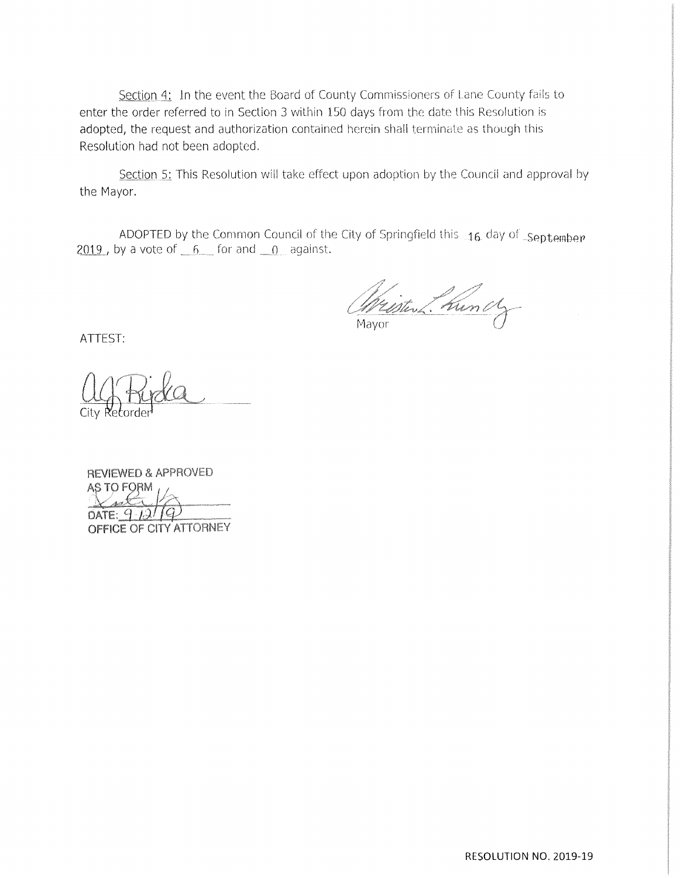Section 4: In the event the Board of County Commissioners of Lane County fails to enter the order referred to in Section 3 within 150 days from the date this Resolution is adopted, the request and authorization contained herein shall terminate as though this Resolution had not been adopted.

Section 5: This Resolution will take effect upon adoption by the Council and approval by the Mayor.

ADOPTED by the Common Council of the City of Springfield this 16 day of September  $2019$ , by a vote of  $6$  for and  $0$  against.

Wristen 2. Kunch

ATTEST:

REVIEWED & APPROVED AS TO FORM seti DATE:  $9.12/19$ OFFICE OF CITY ATTORNEY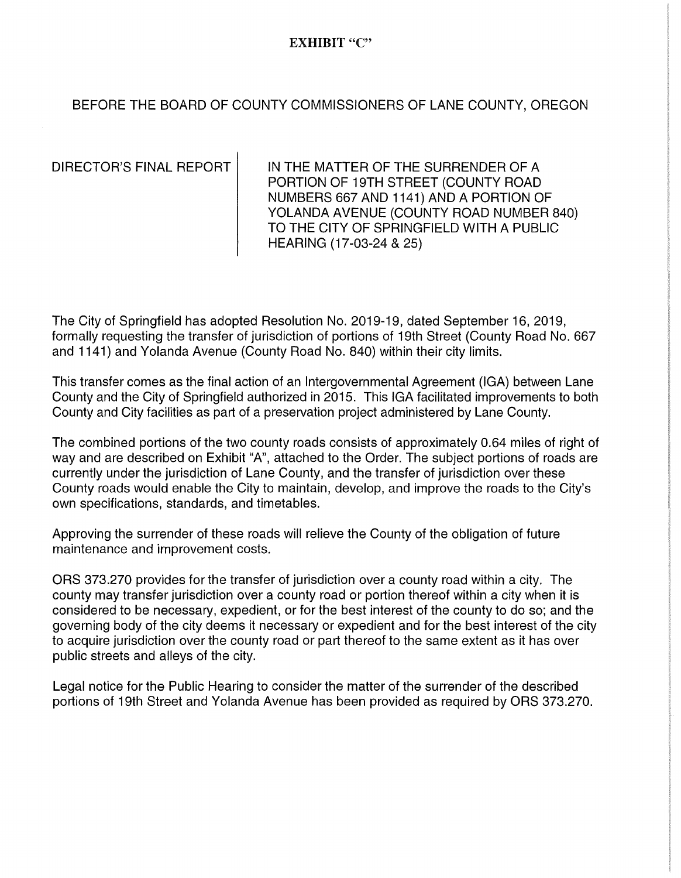## EXHIBIT "C"

## BEFORE THE BOARD OF COUNTY COMMISSIONERS OF LANE COUNTY, OREGON

DIRECTOR'S FINAL REPORT **IN THE MATTER OF THE SURRENDER OF A** PORTION OF 19TH STREET (COUNTY ROAD NUMBERS 667 AND 1141) AND A PORTION OF YOLANDA AVENUE (COUNTY ROAD NUMBER 840) TO THE CITY OF SPRINGFIELD WITH A PUBLIC HEARING (17-03-24 & 25)

The City of Springfield has adopted Resolution No. 2019-19, dated September 16, 2019, formally requesting the transfer of jurisdiction of portions of 19th Street (County Road No. 667 and 1141) and Yolanda Avenue (County Road No. 840) within their city limits.

This transfer comes as the final action of an Intergovernmental Agreement (IGA) between Lane County and the City of Springfield authorized in 2015. This IGA facilitated improvements to both County and City facilities as part of a preservation project administered by Lane County.

The combined portions of the two county roads consists of approximately 0.64 miles of right of way and are described on Exhibit "A", attached to the Order. The subject portions of roads are currently under the jurisdiction of Lane County, and the transfer of jurisdiction over these County roads would enable the City to maintain, develop, and improve the roads to the City's own specifications, standards, and timetables.

Approving the surrender of these roads will relieve the County of the obligation of future maintenance and improvement costs.

ORS 373.270 provides for the transfer of jurisdiction over a county road within a city. The county may transfer jurisdiction over a county road or portion thereof within a city when it is considered to be necessary, expedient, or for the best interest of the county to do so; and the governing body of the city deems it necessary or expedient and for the best interest of the city to acquire jurisdiction over the county road or part thereof to the same extent as it has over public streets and alleys of the city.

Legal notice for the Public Hearing to consider the matter of the surrender of the described portions of 19th Street and Yolanda Avenue has been provided as required by ORS 373.270.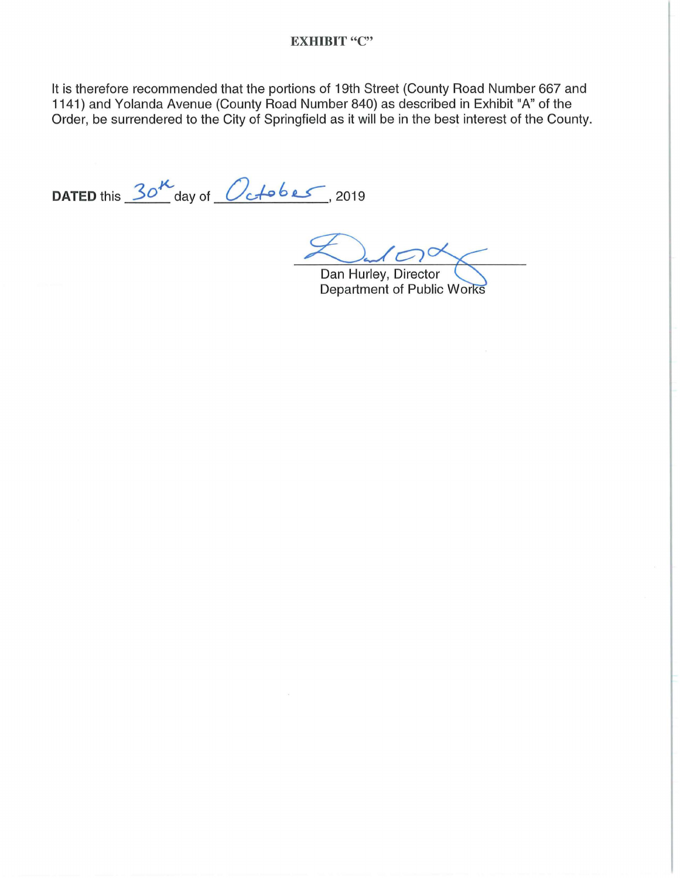### **EXHIBIT "C"**

It is therefore recommended that the portions of 19th Street (County Road Number 667 and 1141) and Yolanda Avenue (County Road Number 840) as described in Exhibit "A" of the Order, be surrendered to the City of Springfield as it will be in the best interest of the County.

DATED this  $30^{\prime\prime}$  day of  $O_{c}$  to be  $\sim$ , 2019

Dan Hurley, Director Department of Public Works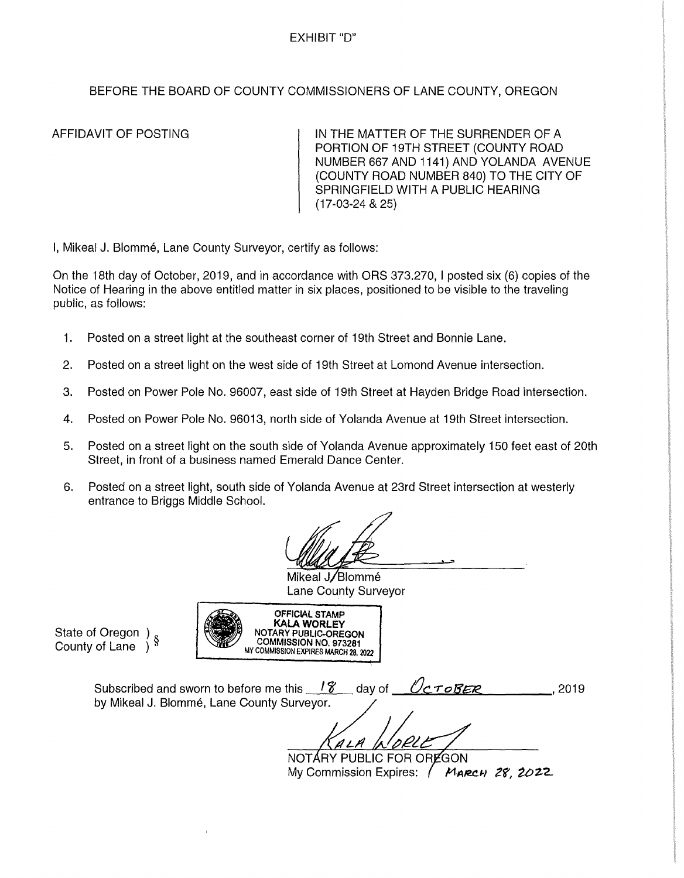### EXHIBIT "D"

## BEFORE THE BOARD OF COUNTY COMMISSIONERS OF LANE COUNTY, OREGON

AFFIDAVIT OF POSTING IN THE MATTER OF THE SURRENDER OF A PORTION OF 19TH STREET (COUNTY ROAD NUMBER 667 AND 1141) AND YOLANDA AVENUE (COUNTY ROAD NUMBER 840) TO THE CITY OF SPRINGFIELD WITH A PUBLIC HEARING (17-03-24 & 25)

I, Mikeal J, Blommé, Lane County Surveyor, certify as follows:

On the 18th day of October, 2019, and in accordance with ORS 373.270, I posted six (6) copies of the Notice of Hearing in the above entitled matter in six places, positioned to be visible to the traveling public, as follows:

- 1. Posted on a street light at the southeast corner of 19th Street and Bonnie Lane.
- 2. Posted on a street light on the west side of 19th Street at Lomond Avenue intersection.
- 3. Posted on Power Pole No. 96007, east side of 19th Street at Hayden Bridge Road intersection.
- 4. Posted on Power Pole No. 96013, north side of Yolanda Avenue at 19th Street intersection.
- 5. Posted on a street light on the south side of Yolanda Avenue approximately 150 feet east of 20th Street, in front of a business named Emerald Dance Center.
- 6. Posted on a street light, south side of Yolanda Avenue at 23rd Street intersection at westerly entrance to Briggs Middle School.

OFFICIAL STAMP **KALA WORLEY**  NOTARY PUBLIC-OREGON COMMISSION NO. 973281 MY COMMISSION EXPIRES MARCH 28, *2022* 

Mikeal J/Blommé Lane County Surveyor

State of Oregon ) § County of Lane )